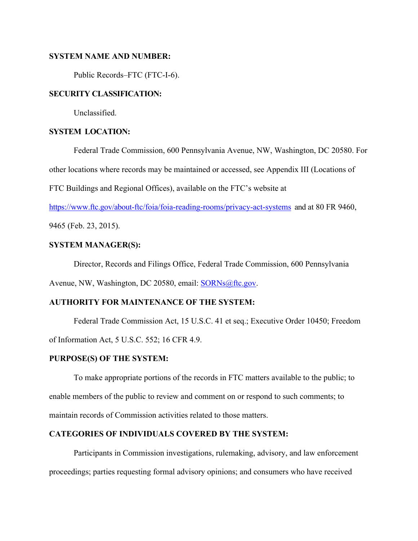## **SYSTEM NAME AND NUMBER:**

Public Records–FTC (FTC-I-6).

## **SECURITY CLASSIFICATION:**

Unclassified.

# **SYSTEM LOCATION:**

Federal Trade Commission, 600 Pennsylvania Avenue, NW, Washington, DC 20580. For

other locations where records may be maintained or accessed, see Appendix III (Locations of

FTC Buildings and Regional Offices), available on the FTC's website at

https://www.ftc.gov/about-ftc/foia/foia-reading-rooms/privacy-act-systems and at 80 FR 9460,

9465 (Feb. 23, 2015).

# **SYSTEM MANAGER(S):**

Director, Records and Filings Office, Federal Trade Commission, 600 Pennsylvania

Avenue, NW, Washington, DC 20580, email: SORNs@ftc.gov.

# **AUTHORITY FOR MAINTENANCE OF THE SYSTEM:**

 Federal Trade Commission Act, 15 U.S.C. 41 et seq.; Executive Order 10450; Freedom of Information Act, 5 U.S.C. 552; 16 CFR 4.9.

# **PURPOSE(S) OF THE SYSTEM:**

 To make appropriate portions of the records in FTC matters available to the public; to enable members of the public to review and comment on or respond to such comments; to maintain records of Commission activities related to those matters.

# **CATEGORIES OF INDIVIDUALS COVERED BY THE SYSTEM:**

Participants in Commission investigations, rulemaking, advisory, and law enforcement proceedings; parties requesting formal advisory opinions; and consumers who have received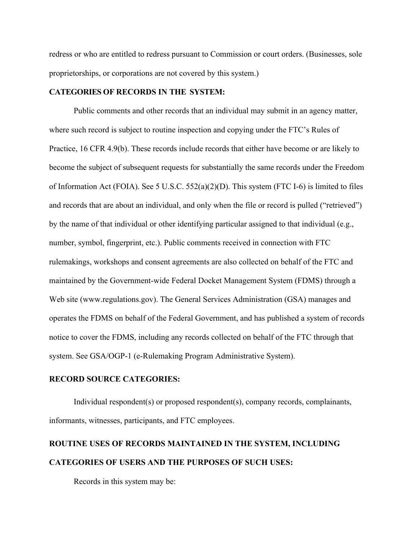redress or who are entitled to redress pursuant to Commission or court orders. (Businesses, sole proprietorships, or corporations are not covered by this system.)

### **CATEGORIES OF RECORDS IN THE SYSTEM:**

Public comments and other records that an individual may submit in an agency matter, where such record is subject to routine inspection and copying under the FTC's Rules of Practice, 16 CFR 4.9(b). These records include records that either have become or are likely to become the subject of subsequent requests for substantially the same records under the Freedom of Information Act (FOIA). See 5 U.S.C. 552(a)(2)(D). This system (FTC I-6) is limited to files and records that are about an individual, and only when the file or record is pulled ("retrieved") by the name of that individual or other identifying particular assigned to that individual (e.g., number, symbol, fingerprint, etc.). Public comments received in connection with FTC rulemakings, workshops and consent agreements are also collected on behalf of the FTC and maintained by the Government-wide Federal Docket Management System (FDMS) through a Web site (www.regulations.gov). The General Services Administration (GSA) manages and operates the FDMS on behalf of the Federal Government, and has published a system of records notice to cover the FDMS, including any records collected on behalf of the FTC through that system. See GSA/OGP-1 (e-Rulemaking Program Administrative System).

#### **RECORD SOURCE CATEGORIES:**

 Individual respondent(s) or proposed respondent(s), company records, complainants, informants, witnesses, participants, and FTC employees.

# **ROUTINE USES OF RECORDS MAINTAINED IN THE SYSTEM, INCLUDING CATEGORIES OF USERS AND THE PURPOSES OF SUCH USES:**

Records in this system may be: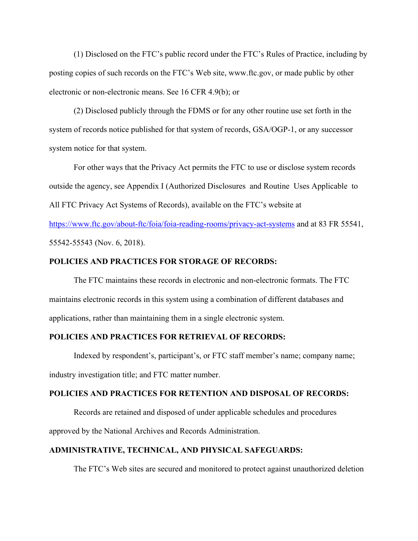(1) Disclosed on the FTC's public record under the FTC's Rules of Practice, including by posting copies of such records on the FTC's Web site, www.ftc.gov, or made public by other electronic or non-electronic means. See 16 CFR 4.9(b); or

(2) Disclosed publicly through the FDMS or for any other routine use set forth in the system of records notice published for that system of records, GSA/OGP-1, or any successor system notice for that system.

For other ways that the Privacy Act permits the FTC to use or disclose system records outside the agency, see Appendix I (Authorized Disclosures and Routine Uses Applicable to All FTC Privacy Act Systems of Records), available on the FTC's website at

https://www.ftc.gov/about-ftc/foia/foia-reading-rooms/privacy-act-systems and at 83 FR 55541, 55542-55543 (Nov. 6, 2018).

#### **POLICIES AND PRACTICES FOR STORAGE OF RECORDS:**

The FTC maintains these records in electronic and non-electronic formats. The FTC maintains electronic records in this system using a combination of different databases and applications, rather than maintaining them in a single electronic system.

## **POLICIES AND PRACTICES FOR RETRIEVAL OF RECORDS:**

Indexed by respondent's, participant's, or FTC staff member's name; company name; industry investigation title; and FTC matter number.

#### **POLICIES AND PRACTICES FOR RETENTION AND DISPOSAL OF RECORDS:**

Records are retained and disposed of under applicable schedules and procedures approved by the National Archives and Records Administration.

# **ADMINISTRATIVE, TECHNICAL, AND PHYSICAL SAFEGUARDS:**

The FTC's Web sites are secured and monitored to protect against unauthorized deletion